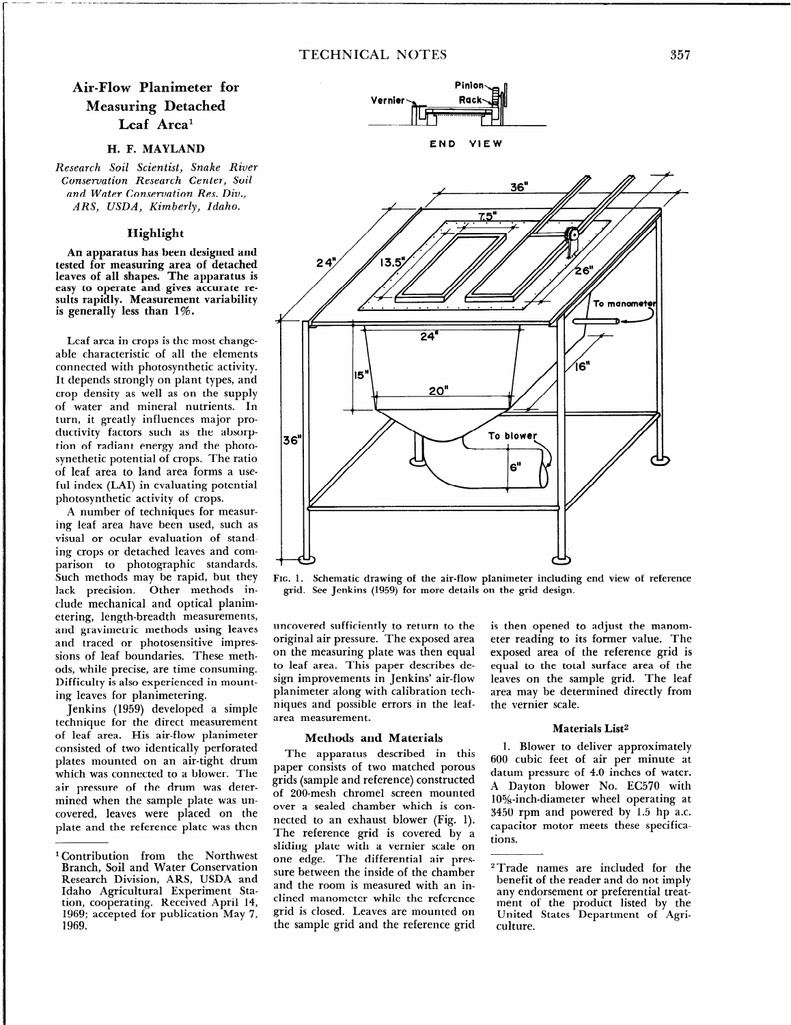# **Air-Flow Planimeter for Measuring Detached Leaf Area'**

### **H. F. MAYLAND**

R *iuer Research Soil Scientist, Snake Soil Conservation Research Center, and Water Conservation Res. Div., ARS, USDA, Kimberly, Idaho.* 

#### **Highlight**

**An apparatus has been designed and tested for measuring area of detached leaves of all shapes. The apparatus is easy to operate and gives accurate results rapidly. Measurement variability is generally less than 1%.** 

**Leaf** area in crops is the most changeable characteristic of all the elements connected with photosynthetic activity. It depends strongly on plant types, and crop density as well as on the supply of water and mineral nutrients. In turn, it greatly influences major productivity factors such as the absorption of radiant energy and the photosynethetic potential of crops. The ratio of leaf area to land area forms a useful index (LAI) in evaluating potential photosynthetic activity of crops.

A number of techniques for measuring leaf area have been used, such as visual or ocular evaluation of standing crops or detached leaves and comparison to photographic standards. Such methods may be rapid, but they lack precision. Other methods in elude mechanical and optical planimetering, length-breadth measurements, and gravimetric methods using leaves and traced or photosensitive impressions of leaf boundaries. These methods, while precise, are time consuming. Difficulty is also experienced in mounting leaves for planimetering.

Jenkins (1959) developed a simple technique for the direct measurement of leaf area. His air-flow planimeter consisted of two identically perforated plates mounted on an air-tight drum which was connected to a blower. The air pressure of the drum was determined when the sample plate was uncovered, leaves were placed on the plate and the reference plate was then



**END VIEW** 



FIG. 1. Schematic drawing of the air-flow planimeter including end view of reference grid. See Jenkins (1959) for more details on the grid design.

uncovered sufficiently to return to the original air pressure. The exposed area on the measuring plate was then equal to leaf area. This paper describes design improvements in Jenkins' air-flow planimeter along with calibration techniques and possible errors in the leafarea measurement.

#### **Methods and Materials**

The apparatus described in this paper consists of two matched porous grids (sample and reference) constructed of 200-mesh chrome1 screen mounted over a sealed chamber which is connected to an exhaust blower (Fig. 1). The reference grid is covered by a sliding plate with a vernier scale on one edge. The differential air pressure between the inside of the chamber and the room is measured with an inclined manometer while the reference grid is closed. Leaves are mounted on the sample grid and the reference grid is then opened to adjust the manometer reading to its former value. The exposed area of the reference grid is equal to the total surface area of the leaves on the sample grid. The leaf area may be determined directly from the vernier scale.

#### **Materials List2**

1. Blower to deliver approximately 600 cubic feet of air per minute at datum pressure of 4.0 inches of water. A Dayton blower No. EC570 with 10%-inch-diameter wheel operating at 3450 rpm and powered by 1.5 hp a.c. capacitor motor meets these specifications.

l Contribution from the Northwest Branch, Soil and Water Conservation Research Division, ARS, USDA and Idaho Agricultural Experiment Station, cooperating. Received April 14, 1969; accepted for publication May 7, 1969.

<sup>2</sup>Trade names are included for the benefit of the reader and do not imply any endorsement or preferential treatment of the product listed by the United States Department of Agriculture.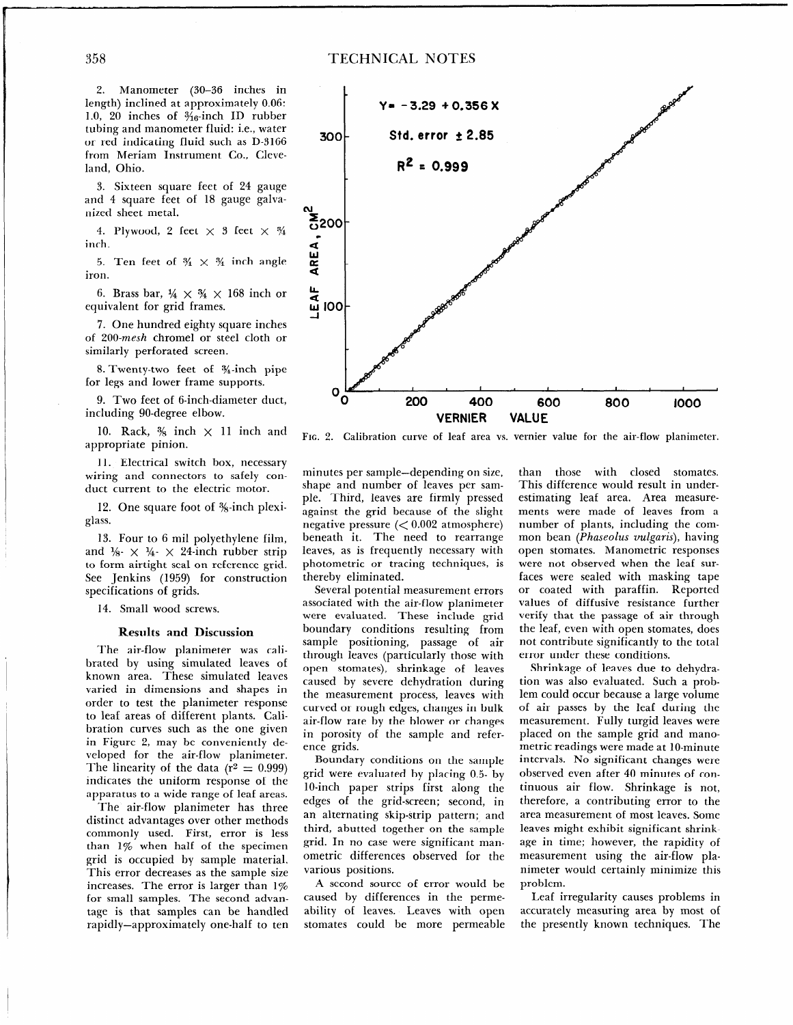2. Manometer (30-36 inches in length) inclined at approximately 0.06: 1.0, 20 inches of  $\frac{3}{16}$ -inch ID rubber tubing and manometer fluid: i.e., water or red indicating fluid such as D-3166 from Meriam Instrument Co., Cleveland, Ohio.

3. Sixteen square feet of 24 gauge and 4 square feet of 18 gauge galvanized sheet metal.

4. Plywood, 2 feet  $\times$  3 feet  $\times$  % inch.

5. Ten feet of  $\frac{3}{4} \times \frac{3}{4}$  inch angle iron.

6. Brass bar,  $\frac{1}{4} \times \frac{3}{4} \times 168$  inch or equivalent for grid frames.

7. One hundred eighty square inches of ZOO-mesh chrome1 or steel cloth or similarly perforated screen.

8. Twenty-two feet of  $\frac{3}{4}$ -inch pipe for legs and lower frame supports.

9. Two feet of 6-inch-diameter duct, including go-degree elbow.

10. Rack,  $\frac{3}{8}$  inch  $\times$  11 inch and appropriate pinion.

11. Electrical switch box, necessary wiring and connectors to safely conduct current to the electric motor.

12. One square foot of %-inch plexiglass.

13. Four to 6 mil polyethylene film, and  $\frac{1}{8}$  ×  $\frac{1}{4}$  × 24-inch rubber strip to form airtight seal on reference grid. See Jenkins (1959) for construction specifications of grids.

14. Small wood screws.

## **Results and Discussion**

The air-flow planimeter was calibrated by using simulated leaves of known area. These simulated leaves varied in dimensions and shapes in order to test the planimeter response to leaf areas of different plants. Calibration curves such as the one given in Figure 2, may be conveniently developed for the air-flow planimeter. The linearity of the data ( $r^2 = 0.999$ ) indicates the uniform response of the apparatus to a wide range of leaf areas.

The air-flow planimeter has three distinct advantages over other methods commonly used. First, error is less than 1% when half of the specimen grid is occupied by sample material. This error decreases as the sample size increases. The error is larger than  $1\%$ for small samples. The second advantage is that samples can be handled rapidly-approximately one-half to ten

minutes per sample-depending on size, shape and number of leaves per sample. Third, leaves are firmly pressed against the grid because of the slight negative pressure (< 0.002 atmosphere) beneath it. The need to rearrange leaves, as is frequently necessary with photometric or tracing techniques, is thereby eliminated.

Several potential measurement errors associated with the air-flow planimeter were evaluated. These include grid boundary conditions resulting from sample positioning, passage of air through leaves (particularly those with open stomates), shrinkage of leaves caused by severe dehydration during the measurement process, leaves with curved or rough edges, changes in bulk air-flow rate by the blower or changes in porosity of the sample and reference grids.

Boundary conditions on the sample grid were evaluated by placing 0.5 by IO-inch paper strips first along the edges of the grid-screen; second, in an alternating skip-strip pattern; and third, abutted together on the sample grid. In no case were significant manometric differences observed for the various positions.

A second source of error would be caused by differences in the permeability of leaves. Leaves with open stomates could be more permeable than those with closed stomates. This difference would result in underestimating leaf area. Area measurements were made of leaves from a number of plants, including the common bean *(Phaseolus vulgaris)*, having open stomates. Manometric responses were not observed when the leaf surfaces were sealed with masking tape or coated with paraffin. Reported values of diffusive resistance further verify that the passage of air through the leaf, even with open stomates, does not contribute significantly to the total error under these conditions.

Shrinkage of leaves due to dehydration was also evaluated. Such a problem could occur because a large volume of air passes by the leaf during the measurement. Fully turgid leaves were placed on the sample grid and manometric readings were made at IO-minute intervals. No significant changes were observed even after 40 minutes of continuous air flow. Shrinkage is not, therefore, a contributing error to the area measurement of most leaves. Some leaves might exhibit significant shrinkage in time; however, the rapidity of measurement using the air-flow planimeter would certainly minimize this problem.

Leaf irregularity causes problems in accurately measuring area by most of the presently known techniques. The



FIG. 2. Calibration curve of leaf area vs. vernier value for the air-flow planimet